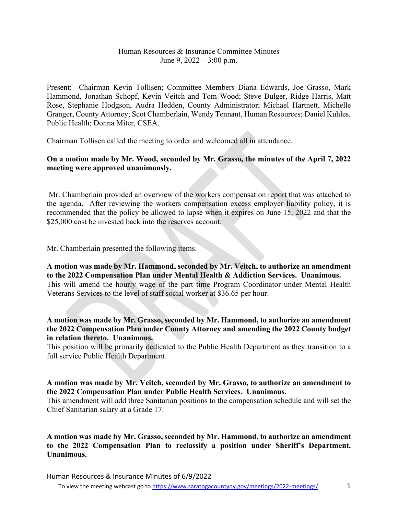## Human Resources & Insurance Committee Minutes June 9,  $2022 - 3:00$  p.m.

Present: Chairman Kevin Tollisen; Committee Members Diana Edwards, Joe Grasso, Mark Hammond, Jonathan Schopf, Kevin Veitch and Tom Wood; Steve Bulger, Ridge Harris, Matt Rose, Stephanie Hodgson, Audra Hedden, County Administrator; Michael Hartnett, Michelle Granger, County Attorney; Scot Chamberlain, Wendy Tennant, Human Resources; Daniel Kuhles, Public Health; Donna Miter, CSEA.

Chairman Tollisen called the meeting to order and welcomed all in attendance.

## **On a motion made by Mr. Wood, seconded by Mr. Grasso, the minutes of the April 7, 2022 meeting were approved unanimously.**

Mr. Chamberlain provided an overview of the workers compensation report that was attached to the agenda. After reviewing the workers compensation excess employer liability policy, it is recommended that the policy be allowed to lapse when it expires on June 15, 2022 and that the \$25,000 cost be invested back into the reserves account.

Mr. Chamberlain presented the following items.

**A motion was made by Mr. Hammond, seconded by Mr. Veitch, to authorize an amendment to the 2022 Compensation Plan under Mental Health & Addiction Services. Unanimous.** This will amend the hourly wage of the part time Program Coordinator under Mental Health Veterans Services to the level of staff social worker at \$36.65 per hour.

**A motion was made by Mr. Grasso, seconded by Mr. Hammond, to authorize an amendment the 2022 Compensation Plan under County Attorney and amending the 2022 County budget in relation thereto. Unanimous.**

This position will be primarily dedicated to the Public Health Department as they transition to a full service Public Health Department.

## **A motion was made by Mr. Veitch, seconded by Mr. Grasso, to authorize an amendment to the 2022 Compensation Plan under Public Health Services. Unanimous.**

This amendment will add three Sanitarian positions to the compensation schedule and will set the Chief Sanitarian salary at a Grade 17.

**A motion was made by Mr. Grasso, seconded by Mr. Hammond, to authorize an amendment to the 2022 Compensation Plan to reclassify a position under Sheriff's Department. Unanimous.**

Human Resources & Insurance Minutes of 6/9/2022

To view the meeting webcast go t[o https://www.saratogacountyny.gov/meetings/2022-meetings/](https://www.saratogacountyny.gov/meetings/2022-meetings/) 1